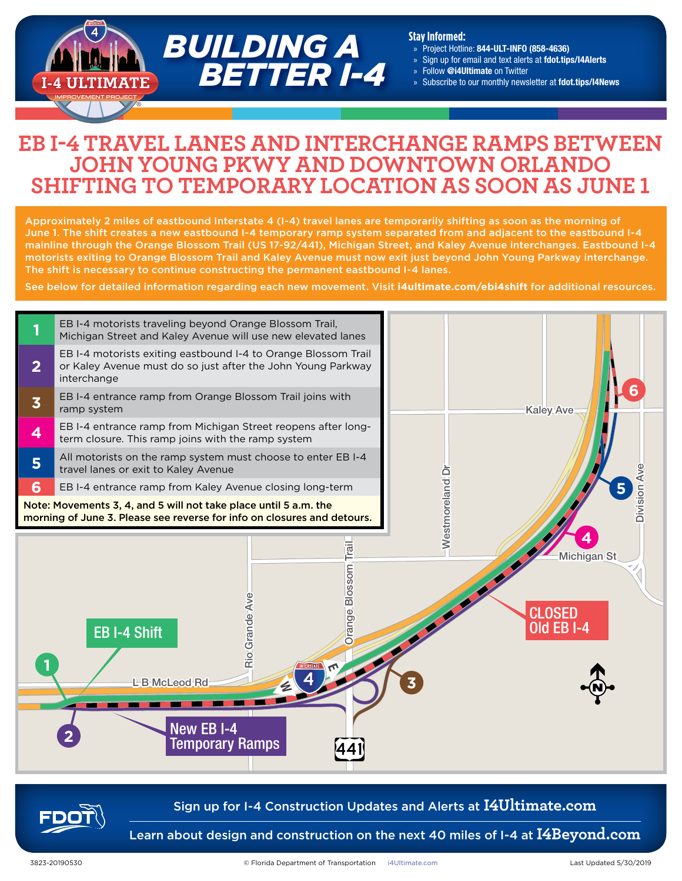

#### **Stay Informed:**

- » Project Hotline: 844-ULT-INFO (858-4636)
- » Sign up for email and text alerts at fdot.tips/I4Alerts
- » Follow @i4Ultimate on Twitter
- » Subscribe to our monthly newsletter at fdot.tips/I4News

## **EB I-4 TRAVEL LANES AND INTERCHANGE RAMPS BETWEEN JOHN YOUNG PKWY AND DOWNTOWN ORLANDO SHIFTING TO TEMPORARY LOCATION AS SOON AS JUNE 1**

Approximately 2 miles of eastbound Interstate 4 (I-4) travel lanes are temporarily shifting as soon as the morning of June 1. The shift creates a new eastbound I-4 temporary ramp system separated from and adjacent to the eastbound I-4 mainline through the Orange Blossom Trail (US 17-92/441), Michigan Street, and Kaley Avenue interchanges. Eastbound I-4 motorists exiting to Orange Blossom Trail and Kaley Avenue must now exit just beyond John Young Parkway interchange. The shift is necessary to continue constructing the permanent eastbound I-4 lanes.

See below for detailed information regarding each new movement. Visit **[i4ultimate.com/ebi4shift](https://i4ultimate.com/ebi4shift)** for additional resources.



## Sign up for I-4 Construction Updates and Alerts at **I4Ultimate.com**

Learn about design and construction on the next 40 miles of I-4 at **I4Beyond.com**